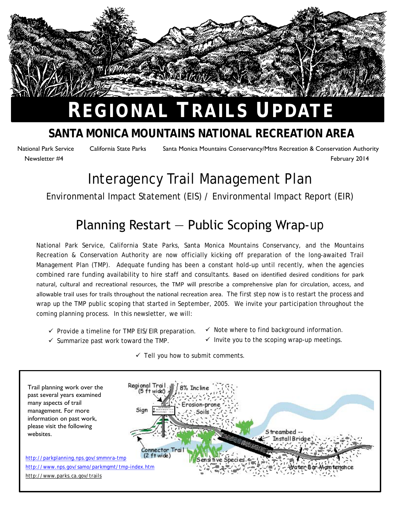

# **REGIONAL TRAILS UPDATE**

### **SANTA MONICA MOUNTAINS NATIONAL RECREATION AREA**

National Park Service California State Parks Santa Monica Mountains Conservancy/Mtns Recreation & Conservation Authority Newsletter #4 February 2014

### Interagency Trail Management Plan

#### Environmental Impact Statement (EIS) / Environmental Impact Report (EIR)

### Planning Restart ― Public Scoping Wrap-up

National Park Service, California State Parks, Santa Monica Mountains Conservancy, and the Mountains Recreation & Conservation Authority are now officially kicking off preparation of the long-awaited Trail Management Plan (TMP). Adequate funding has been a constant hold-up until recently, when the agencies combined rare funding availability to hire staff and consultants. Based on identified desired conditions for park natural, cultural and recreational resources, the TMP will prescribe a comprehensive plan for circulation, access, and allowable trail uses for trails throughout the national recreation area. The first step now is to restart the process and wrap up the TMP public scoping that started in September, 2005. We invite your participation throughout the coming planning process. In this newsletter, we will:

- $\checkmark$  Provide a timeline for TMP EIS/EIR preparation.
- $\checkmark$  Summarize past work toward the TMP.
- $\checkmark$  Note where to find background information.
- $\checkmark$  Invite you to the scoping wrap-up meetings.
- $\checkmark$  Tell you how to submit comments.

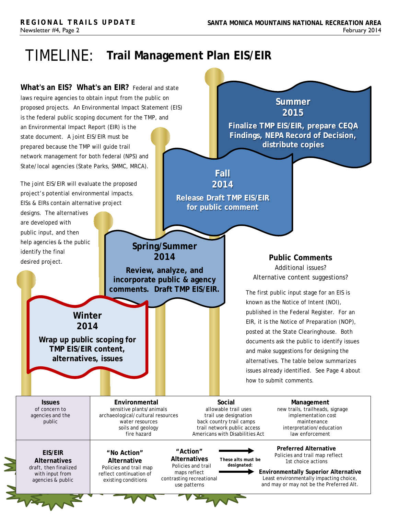### TIMELINE: **Trail Management Plan EIS/EIR**

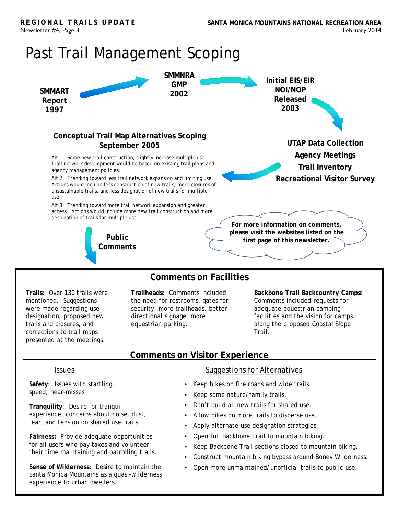

**Trails**: Over 130 trails were mentioned. Suggestions were made regarding use designation, proposed new trails and closures, and corrections to trail maps presented at the meetings.

**Trailheads**: Comments included the need for restrooms, gates for security, more trailheads, better directional signage, more equestrian parking.

**Backbone Trail Backcountry Camps**: Comments included requests for adequate equestrian camping facilities and the vision for camps along the proposed Coastal Slope Trail.

#### **Comments on Visitor Experience**

**Safety**: Issues with startling, speed, near-misses

**Tranquility**: Desire for tranquil experience, concerns about noise, dust, fear, and tension on shared use trails.

**Fairness:** Provide adequate opportunities for all users who pay taxes and volunteer their time maintaining and patrolling trails.

**Sense of Wilderness**: Desire to maintain the Santa Monica Mountains as a quasi-wilderness experience to urban dwellers.

#### **Issues** Suggestions for Alternatives

- Keep bikes on fire roads and wide trails.
- Keep some nature/family trails.
- Don't build all new trails for shared use.
- Allow bikes on more trails to disperse use.
- Apply alternate use designation strategies.
- Open full Backbone Trail to mountain biking.
- Keep Backbone Trail sections closed to mountain biking.
- Construct mountain biking bypass around Boney Wilderness.
- Open more unmaintained/unofficial trails to public use.